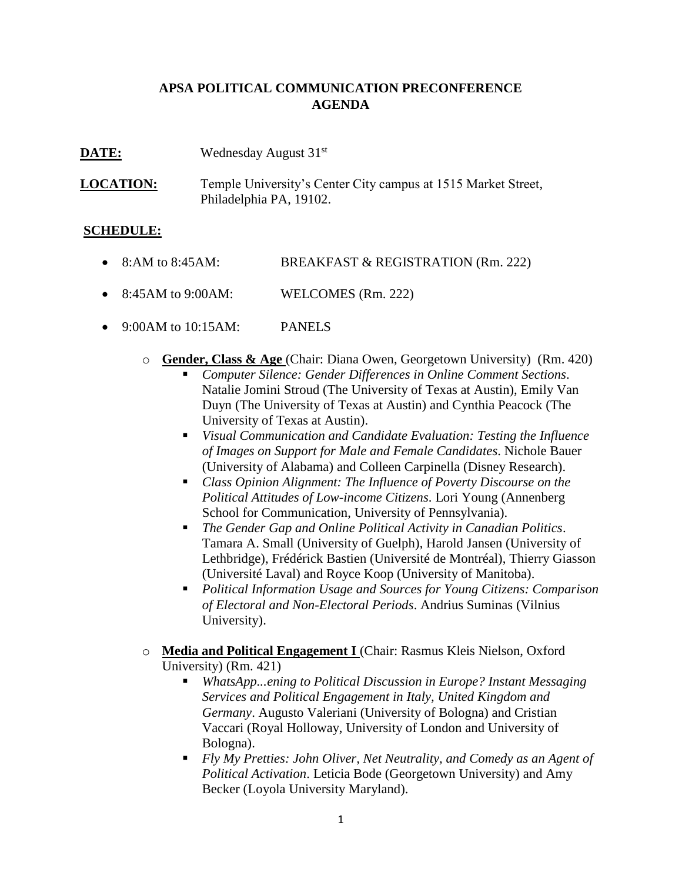## **APSA POLITICAL COMMUNICATION PRECONFERENCE AGENDA**

**DATE:** Wednesday August 31<sup>st</sup>

**LOCATION:** Temple University's Center City campus at 1515 Market Street, Philadelphia PA, 19102.

## **SCHEDULE:**

- 8:AM to 8:45AM: BREAKFAST & REGISTRATION (Rm. 222)
- 8:45AM to 9:00AM: WELCOMES (Rm. 222)
- $\bullet$  9:00AM to 10:15AM: PANELS
	- o **Gender, Class & Age** (Chair: Diana Owen, Georgetown University) (Rm. 420)
		- *Computer Silence: Gender Differences in Online Comment Sections*. Natalie Jomini Stroud (The University of Texas at Austin), Emily Van Duyn (The University of Texas at Austin) and Cynthia Peacock (The University of Texas at Austin).
		- *Visual Communication and Candidate Evaluation: Testing the Influence of Images on Support for Male and Female Candidates*. Nichole Bauer (University of Alabama) and Colleen Carpinella (Disney Research).
		- *Class Opinion Alignment: The Influence of Poverty Discourse on the Political Attitudes of Low-income Citizens*. Lori Young (Annenberg School for Communication, University of Pennsylvania).
		- *The Gender Gap and Online Political Activity in Canadian Politics*. Tamara A. Small (University of Guelph), Harold Jansen (University of Lethbridge), Frédérick Bastien (Université de Montréal), Thierry Giasson (Université Laval) and Royce Koop (University of Manitoba).
		- *Political Information Usage and Sources for Young Citizens: Comparison of Electoral and Non-Electoral Periods*. Andrius Suminas (Vilnius University).
	- o **Media and Political Engagement I** (Chair: Rasmus Kleis Nielson, Oxford University) (Rm. 421)
		- *WhatsApp...ening to Political Discussion in Europe? Instant Messaging Services and Political Engagement in Italy, United Kingdom and Germany*. Augusto Valeriani (University of Bologna) and Cristian Vaccari (Royal Holloway, University of London and University of Bologna).
		- *Fly My Pretties: John Oliver, Net Neutrality, and Comedy as an Agent of Political Activation*. Leticia Bode (Georgetown University) and Amy Becker (Loyola University Maryland).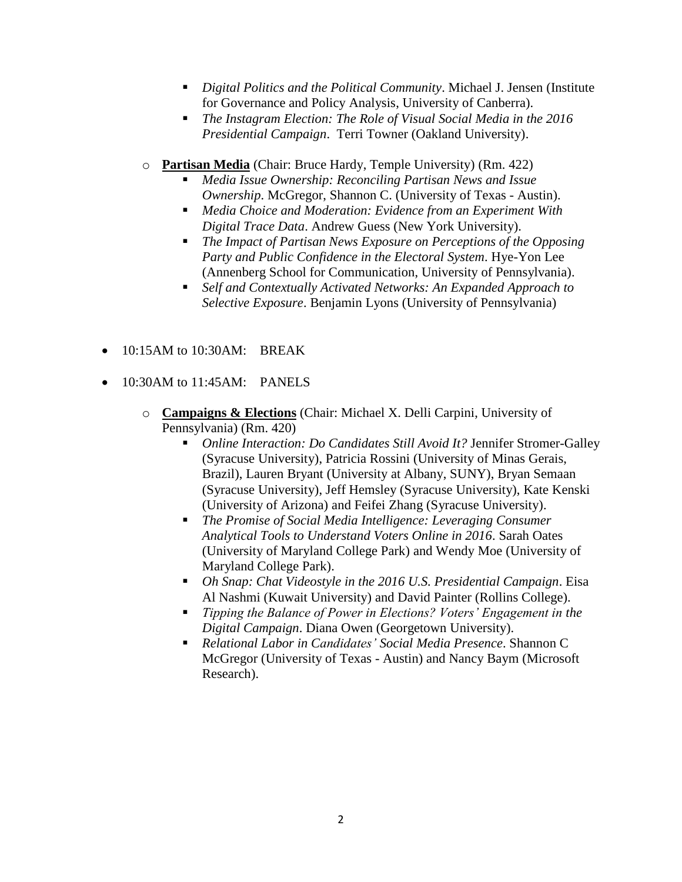- *Digital Politics and the Political Community*. Michael J. Jensen (Institute for Governance and Policy Analysis, University of Canberra).
- *The Instagram Election: The Role of Visual Social Media in the 2016 Presidential Campaign*. Terri Towner (Oakland University).
- o **Partisan Media** (Chair: Bruce Hardy, Temple University) (Rm. 422)
	- *Media Issue Ownership: Reconciling Partisan News and Issue Ownership*. McGregor, Shannon C. (University of Texas - Austin).
	- *Media Choice and Moderation: Evidence from an Experiment With Digital Trace Data*. Andrew Guess (New York University).
	- *The Impact of Partisan News Exposure on Perceptions of the Opposing Party and Public Confidence in the Electoral System*. Hye-Yon Lee (Annenberg School for Communication, University of Pennsylvania).
	- *Self and Contextually Activated Networks: An Expanded Approach to Selective Exposure*. Benjamin Lyons (University of Pennsylvania)
- $\bullet$  10:15AM to 10:30AM: BREAK
- $\bullet$  10:30AM to 11:45AM: PANELS
	- o **Campaigns & Elections** (Chair: Michael X. Delli Carpini, University of Pennsylvania) (Rm. 420)
		- *Online Interaction: Do Candidates Still Avoid It?* Jennifer Stromer-Galley (Syracuse University), Patricia Rossini (University of Minas Gerais, Brazil), Lauren Bryant (University at Albany, SUNY), Bryan Semaan (Syracuse University), Jeff Hemsley (Syracuse University), Kate Kenski (University of Arizona) and Feifei Zhang (Syracuse University).
		- *The Promise of Social Media Intelligence: Leveraging Consumer Analytical Tools to Understand Voters Online in 2016*. Sarah Oates (University of Maryland College Park) and Wendy Moe (University of Maryland College Park).
		- *Oh Snap: Chat Videostyle in the 2016 U.S. Presidential Campaign*. Eisa Al Nashmi (Kuwait University) and David Painter (Rollins College).
		- *Tipping the Balance of Power in Elections? Voters' Engagement in the Digital Campaign*. Diana Owen (Georgetown University).
		- *Relational Labor in Candidates' Social Media Presence*. Shannon C McGregor (University of Texas - Austin) and Nancy Baym (Microsoft Research).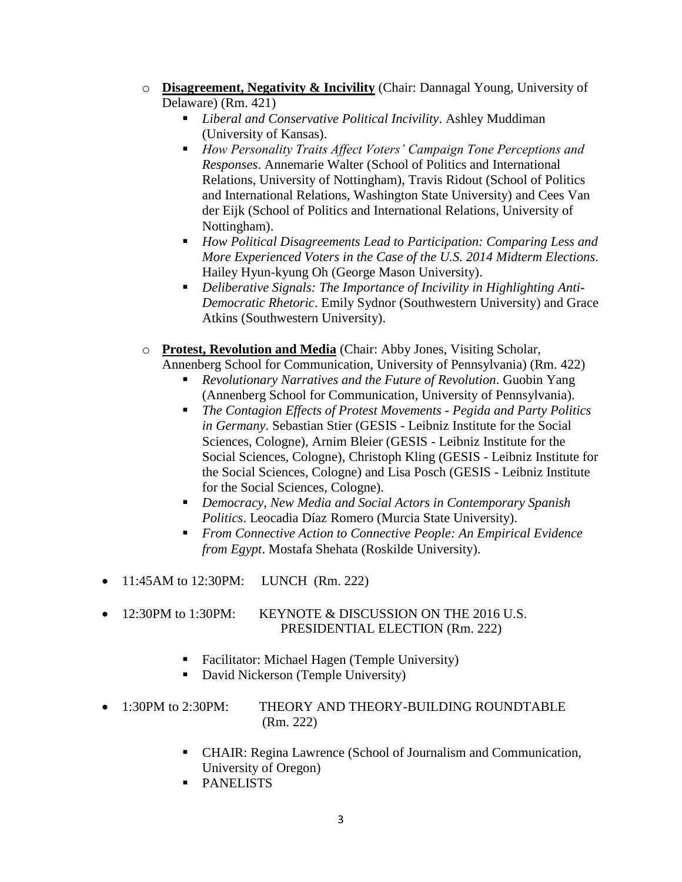- o **Disagreement, Negativity & Incivility** (Chair: Dannagal Young, University of Delaware) (Rm. 421)
	- *Liberal and Conservative Political Incivility*. Ashley Muddiman (University of Kansas).
	- *How Personality Traits Affect Voters' Campaign Tone Perceptions and Responses*. Annemarie Walter (School of Politics and International Relations, University of Nottingham), Travis Ridout (School of Politics and International Relations, Washington State University) and Cees Van der Eijk (School of Politics and International Relations, University of Nottingham).
	- *How Political Disagreements Lead to Participation: Comparing Less and More Experienced Voters in the Case of the U.S. 2014 Midterm Elections*. Hailey Hyun-kyung Oh (George Mason University).
	- *Deliberative Signals: The Importance of Incivility in Highlighting Anti-Democratic Rhetoric*. Emily Sydnor (Southwestern University) and Grace Atkins (Southwestern University).
- o **Protest, Revolution and Media** (Chair: Abby Jones, Visiting Scholar,
	- Annenberg School for Communication, University of Pennsylvania) (Rm. 422) *Revolutionary Narratives and the Future of Revolution*. Guobin Yang
		- (Annenberg School for Communication, University of Pennsylvania). *The Contagion Effects of Protest Movements - Pegida and Party Politics in Germany*. Sebastian Stier (GESIS - Leibniz Institute for the Social Sciences, Cologne), Arnim Bleier (GESIS - Leibniz Institute for the Social Sciences, Cologne), Christoph Kling (GESIS - Leibniz Institute for the Social Sciences, Cologne) and Lisa Posch (GESIS - Leibniz Institute
		- for the Social Sciences, Cologne). *Democracy, New Media and Social Actors in Contemporary Spanish*
		- *Politics*. Leocadia Díaz Romero (Murcia State University). *From Connective Action to Connective People: An Empirical Evidence from Egypt*. Mostafa Shehata (Roskilde University).
- 11:45AM to 12:30PM: LUNCH (Rm. 222)
- 12:30PM to 1:30PM: KEYNOTE & DISCUSSION ON THE 2016 U.S. PRESIDENTIAL ELECTION (Rm. 222)
	- Facilitator: Michael Hagen (Temple University)
	- David Nickerson (Temple University)
- 1:30PM to 2:30PM: THEORY AND THEORY-BUILDING ROUNDTABLE (Rm. 222)
	- CHAIR: Regina Lawrence (School of Journalism and Communication, University of Oregon)
	- **PANELISTS**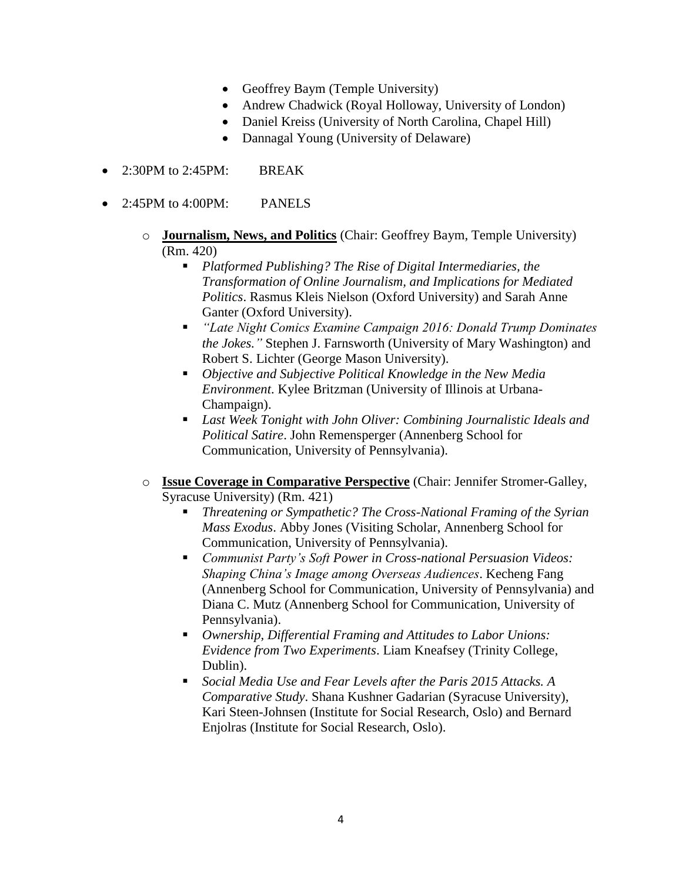- Geoffrey Baym (Temple University)
- Andrew Chadwick (Royal Holloway, University of London)
- Daniel Kreiss (University of North Carolina, Chapel Hill)
- Dannagal Young (University of Delaware)
- 2:30PM to 2:45PM: BREAK
- 2:45PM to 4:00PM: PANELS
	- o **Journalism, News, and Politics** (Chair: Geoffrey Baym, Temple University) (Rm. 420)
		- *Platformed Publishing? The Rise of Digital Intermediaries, the Transformation of Online Journalism, and Implications for Mediated Politics*. Rasmus Kleis Nielson (Oxford University) and Sarah Anne Ganter (Oxford University).
		- *"Late Night Comics Examine Campaign 2016: Donald Trump Dominates the Jokes."* Stephen J. Farnsworth (University of Mary Washington) and Robert S. Lichter (George Mason University).
		- *Objective and Subjective Political Knowledge in the New Media Environment*. Kylee Britzman (University of Illinois at Urbana-Champaign).
		- *Last Week Tonight with John Oliver: Combining Journalistic Ideals and Political Satire*. John Remensperger (Annenberg School for Communication, University of Pennsylvania).
	- o **Issue Coverage in Comparative Perspective** (Chair: Jennifer Stromer-Galley, Syracuse University) (Rm. 421)
		- *Threatening or Sympathetic? The Cross-National Framing of the Syrian Mass Exodus*. Abby Jones (Visiting Scholar, Annenberg School for Communication, University of Pennsylvania).
		- *Communist Party's Soft Power in Cross-national Persuasion Videos: Shaping China's Image among Overseas Audiences*. Kecheng Fang (Annenberg School for Communication, University of Pennsylvania) and Diana C. Mutz (Annenberg School for Communication, University of Pennsylvania).
		- *Ownership, Differential Framing and Attitudes to Labor Unions: Evidence from Two Experiments*. Liam Kneafsey (Trinity College, Dublin).
		- *Social Media Use and Fear Levels after the Paris 2015 Attacks. A Comparative Study*. Shana Kushner Gadarian (Syracuse University), Kari Steen-Johnsen (Institute for Social Research, Oslo) and Bernard Enjolras (Institute for Social Research, Oslo).